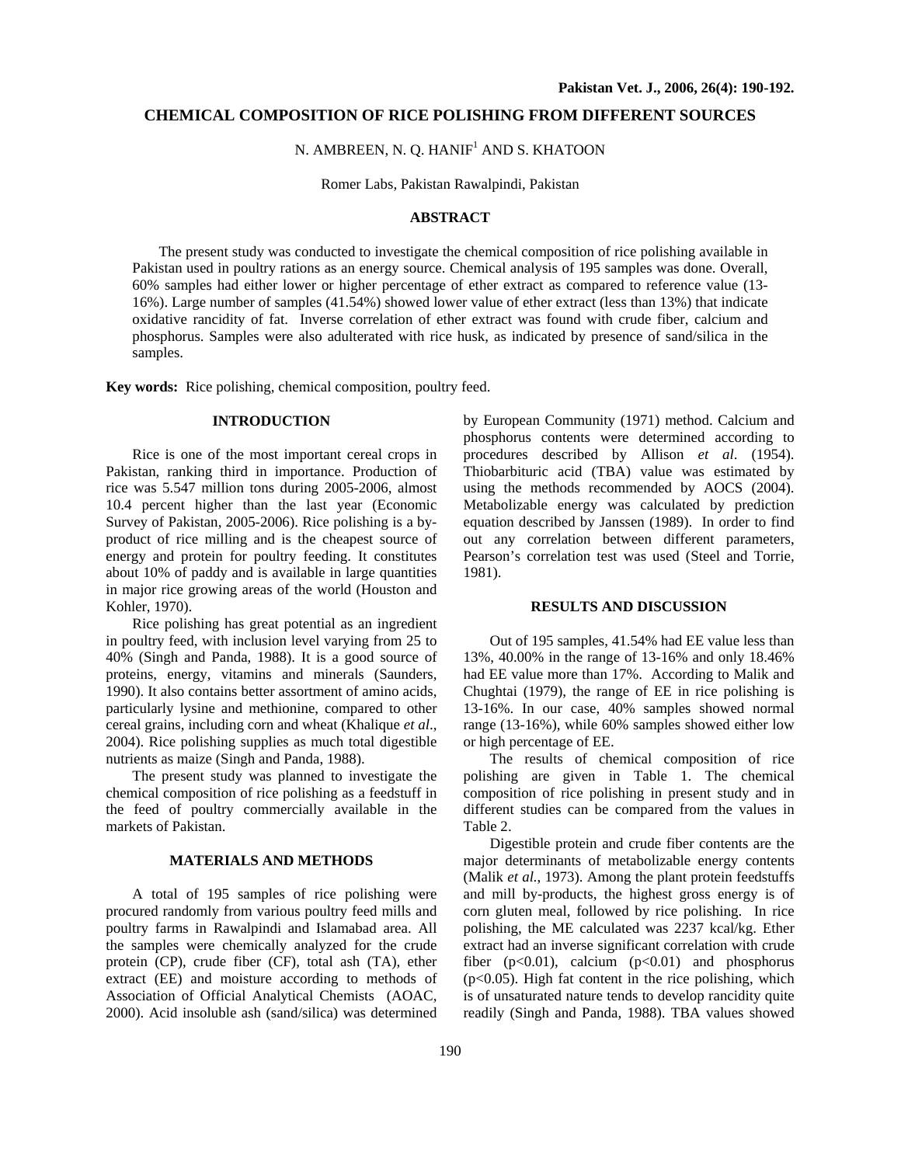### **CHEMICAL COMPOSITION OF RICE POLISHING FROM DIFFERENT SOURCES**

N. AMBREEN, N. Q. HANIF<sup>1</sup> AND S. KHATOON

Romer Labs, Pakistan Rawalpindi, Pakistan

# **ABSTRACT**

The present study was conducted to investigate the chemical composition of rice polishing available in Pakistan used in poultry rations as an energy source. Chemical analysis of 195 samples was done. Overall, 60% samples had either lower or higher percentage of ether extract as compared to reference value (13- 16%). Large number of samples (41.54%) showed lower value of ether extract (less than 13%) that indicate oxidative rancidity of fat. Inverse correlation of ether extract was found with crude fiber, calcium and phosphorus. Samples were also adulterated with rice husk, as indicated by presence of sand/silica in the samples.

**Key words:** Rice polishing, chemical composition, poultry feed.

## **INTRODUCTION**

Rice is one of the most important cereal crops in Pakistan, ranking third in importance. Production of rice was 5.547 million tons during 2005-2006, almost 10.4 percent higher than the last year (Economic Survey of Pakistan, 2005-2006). Rice polishing is a byproduct of rice milling and is the cheapest source of energy and protein for poultry feeding. It constitutes about 10% of paddy and is available in large quantities in major rice growing areas of the world (Houston and Kohler, 1970).

Rice polishing has great potential as an ingredient in poultry feed, with inclusion level varying from 25 to 40% (Singh and Panda, 1988). It is a good source of proteins, energy, vitamins and minerals (Saunders, 1990). It also contains better assortment of amino acids, particularly lysine and methionine, compared to other cereal grains, including corn and wheat (Khalique *et al*., 2004). Rice polishing supplies as much total digestible nutrients as maize (Singh and Panda, 1988).

The present study was planned to investigate the chemical composition of rice polishing as a feedstuff in the feed of poultry commercially available in the markets of Pakistan.

#### **MATERIALS AND METHODS**

A total of 195 samples of rice polishing were procured randomly from various poultry feed mills and poultry farms in Rawalpindi and Islamabad area. All the samples were chemically analyzed for the crude protein (CP), crude fiber (CF), total ash (TA), ether extract (EE) and moisture according to methods of Association of Official Analytical Chemists (AOAC, 2000). Acid insoluble ash (sand/silica) was determined by European Community (1971) method. Calcium and phosphorus contents were determined according to procedures described by Allison *et al*. (1954). Thiobarbituric acid (TBA) value was estimated by using the methods recommended by AOCS (2004). Metabolizable energy was calculated by prediction equation described by Janssen (1989). In order to find out any correlation between different parameters, Pearson's correlation test was used (Steel and Torrie, 1981).

### **RESULTS AND DISCUSSION**

Out of 195 samples, 41.54% had EE value less than 13%, 40.00% in the range of 13-16% and only 18.46% had EE value more than 17%. According to Malik and Chughtai (1979), the range of EE in rice polishing is 13-16%. In our case, 40% samples showed normal range (13-16%), while 60% samples showed either low or high percentage of EE.

The results of chemical composition of rice polishing are given in Table 1. The chemical composition of rice polishing in present study and in different studies can be compared from the values in Table 2.

Digestible protein and crude fiber contents are the major determinants of metabolizable energy contents (Malik *et al.*, 1973). Among the plant protein feedstuffs and mill by-products, the highest gross energy is of corn gluten meal, followed by rice polishing. In rice polishing, the ME calculated was 2237 kcal/kg. Ether extract had an inverse significant correlation with crude fiber  $(p<0.01)$ , calcium  $(p<0.01)$  and phosphorus  $(p<0.05)$ . High fat content in the rice polishing, which is of unsaturated nature tends to develop rancidity quite readily (Singh and Panda, 1988). TBA values showed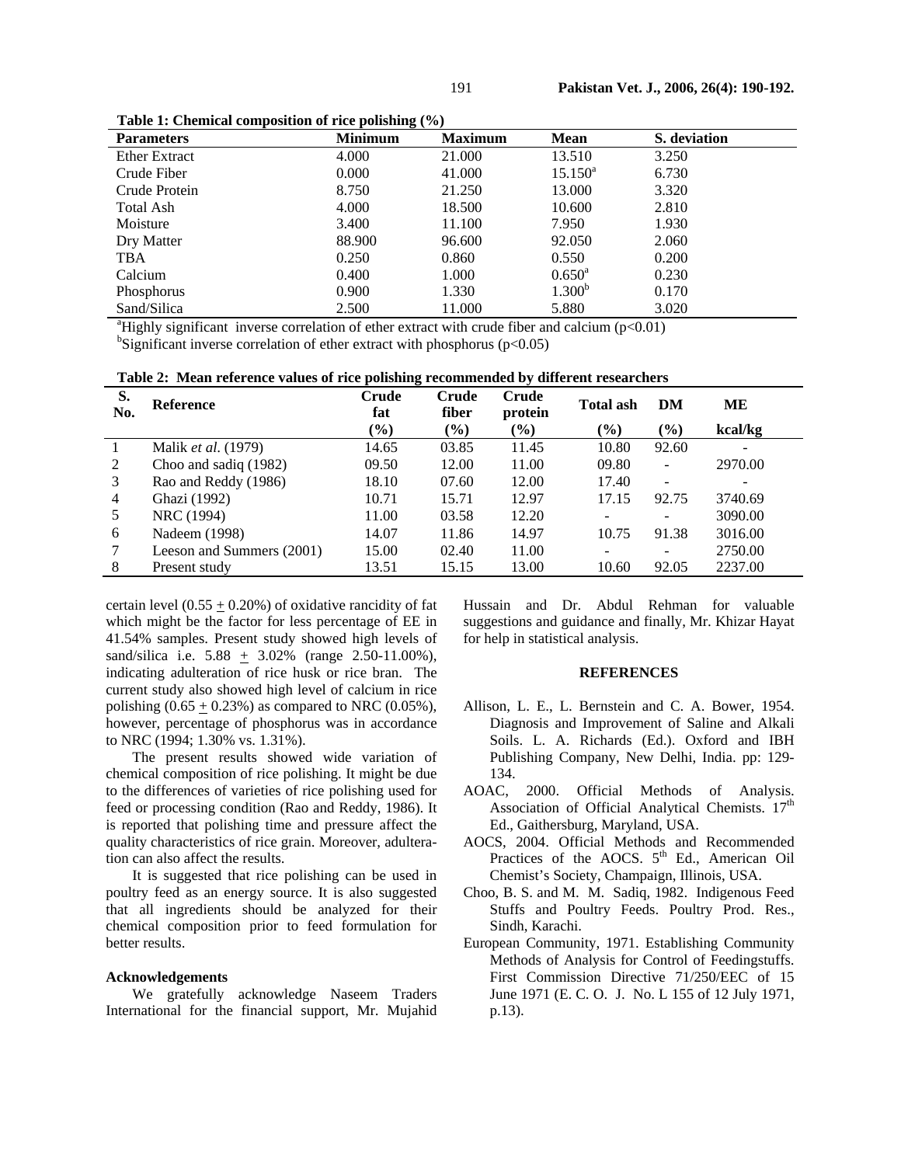| <b>Parameters</b>    | <b>Minimum</b> | <b>Maximum</b> | <b>Mean</b>        | S. deviation |
|----------------------|----------------|----------------|--------------------|--------------|
| <b>Ether Extract</b> | 4.000          | 21.000         | 13.510             | 3.250        |
| Crude Fiber          | 0.000          | 41.000         | $15.150^a$         | 6.730        |
| Crude Protein        | 8.750          | 21.250         | 13.000             | 3.320        |
| Total Ash            | 4.000          | 18.500         | 10.600             | 2.810        |
| Moisture             | 3.400          | 11.100         | 7.950              | 1.930        |
| Dry Matter           | 88.900         | 96.600         | 92.050             | 2.060        |
| <b>TBA</b>           | 0.250          | 0.860          | 0.550              | 0.200        |
| Calcium              | 0.400          | 1.000          | $0.650^{\circ}$    | 0.230        |
| Phosphorus           | 0.900          | 1.330          | 1.300 <sup>b</sup> | 0.170        |
| Sand/Silica          | 2.500          | 11.000         | 5.880              | 3.020        |

**Table 1: Chemical composition of rice polishing (%)** 

<sup>a</sup>Highly significant inverse correlation of ether extract with crude fiber and calcium ( $p<0.01$ ) believised inverse correlation of other extract with pheephorus ( $p<0.05$ ) <sup>b</sup>Significant inverse correlation of ether extract with phosphorus ( $p<0.05$ )

|  |  | Table 2: Mean reference values of rice polishing recommended by different researchers |
|--|--|---------------------------------------------------------------------------------------|
|  |  |                                                                                       |

| S.<br>No. | <b>Reference</b>           | Crude<br>fat | Crude<br>fiber | <b>Crude</b><br>protein | <b>Total ash</b> | DM                       | MЕ                           |
|-----------|----------------------------|--------------|----------------|-------------------------|------------------|--------------------------|------------------------------|
|           |                            | $(\%)$       | $(\%)$         | (%)                     | $(\%)$           | $(\%)$                   | kcal/kg                      |
|           | Malik <i>et al.</i> (1979) | 14.65        | 03.85          | 11.45                   | 10.80            | 92.60                    | $\qquad \qquad \blacksquare$ |
| 2         | Choo and sadiq (1982)      | 09.50        | 12.00          | 11.00                   | 09.80            | $\overline{\phantom{a}}$ | 2970.00                      |
| 3         | Rao and Reddy (1986)       | 18.10        | 07.60          | 12.00                   | 17.40            | $\overline{\phantom{m}}$ |                              |
| 4         | Ghazi (1992)               | 10.71        | 15.71          | 12.97                   | 17.15            | 92.75                    | 3740.69                      |
| 5         | NRC (1994)                 | 11.00        | 03.58          | 12.20                   |                  | $\overline{\phantom{m}}$ | 3090.00                      |
| 6         | Nadeem (1998)              | 14.07        | 11.86          | 14.97                   | 10.75            | 91.38                    | 3016.00                      |
|           | Leeson and Summers (2001)  | 15.00        | 02.40          | 11.00                   |                  | $\overline{\phantom{0}}$ | 2750.00                      |
| 8         | Present study              | 13.51        | 15.15          | 13.00                   | 10.60            | 92.05                    | 2237.00                      |

certain level  $(0.55 + 0.20\%)$  of oxidative rancidity of fat which might be the factor for less percentage of EE in 41.54% samples. Present study showed high levels of sand/silica i.e. 5.88 + 3.02% (range 2.50-11.00%), indicating adulteration of rice husk or rice bran. The current study also showed high level of calcium in rice polishing  $(0.65 + 0.23%)$  as compared to NRC  $(0.05%)$ , however, percentage of phosphorus was in accordance to NRC (1994; 1.30% vs. 1.31%).

The present results showed wide variation of chemical composition of rice polishing. It might be due to the differences of varieties of rice polishing used for feed or processing condition (Rao and Reddy, 1986). It is reported that polishing time and pressure affect the quality characteristics of rice grain. Moreover, adulteration can also affect the results.

It is suggested that rice polishing can be used in poultry feed as an energy source. It is also suggested that all ingredients should be analyzed for their chemical composition prior to feed formulation for better results.

### **Acknowledgements**

We gratefully acknowledge Naseem Traders International for the financial support, Mr. Mujahid Hussain and Dr. Abdul Rehman for valuable suggestions and guidance and finally, Mr. Khizar Hayat for help in statistical analysis.

### **REFERENCES**

- Allison, L. E., L. Bernstein and C. A. Bower, 1954. Diagnosis and Improvement of Saline and Alkali Soils. L. A. Richards (Ed.). Oxford and IBH Publishing Company, New Delhi, India. pp: 129- 134.
- AOAC, 2000. Official Methods of Analysis. Association of Official Analytical Chemists. 17<sup>th</sup> Ed., Gaithersburg, Maryland, USA.
- AOCS, 2004. Official Methods and Recommended Practices of the AOCS.  $5<sup>th</sup>$  Ed., American Oil Chemist's Society, Champaign, Illinois, USA.
- Choo, B. S. and M. M. Sadiq, 1982. Indigenous Feed Stuffs and Poultry Feeds. Poultry Prod. Res., Sindh, Karachi.
- European Community, 1971. Establishing Community Methods of Analysis for Control of Feedingstuffs. First Commission Directive 71/250/EEC of 15 June 1971 (E. C. O. J. No. L 155 of 12 July 1971, p.13).